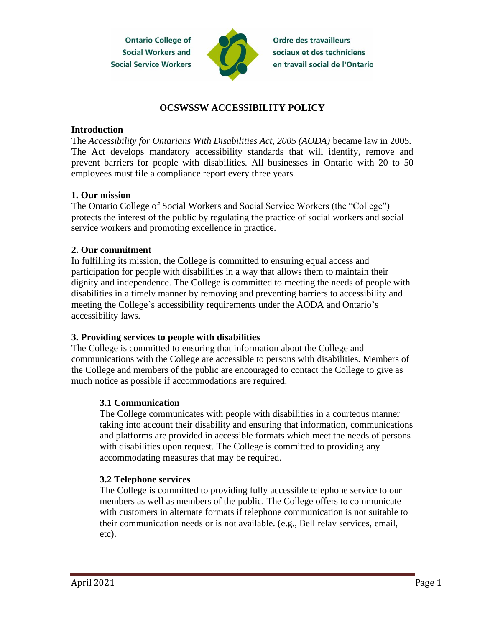

**Ordre des travailleurs** sociaux et des techniciens en travail social de l'Ontario

# **OCSWSSW ACCESSIBILITY POLICY**

#### **Introduction**

The *Accessibility for Ontarians With Disabilities Act, 2005 (AODA)* became law in 2005. The Act develops mandatory accessibility standards that will identify, remove and prevent barriers for people with disabilities. All businesses in Ontario with 20 to 50 employees must file a compliance report every three years.

### **1. Our mission**

The Ontario College of Social Workers and Social Service Workers (the "College") protects the interest of the public by regulating the practice of social workers and social service workers and promoting excellence in practice.

### **2. Our commitment**

In fulfilling its mission, the College is committed to ensuring equal access and participation for people with disabilities in a way that allows them to maintain their dignity and independence. The College is committed to meeting the needs of people with disabilities in a timely manner by removing and preventing barriers to accessibility and meeting the College's accessibility requirements under the AODA and Ontario's accessibility laws.

### **3. Providing services to people with disabilities**

The College is committed to ensuring that information about the College and communications with the College are accessible to persons with disabilities. Members of the College and members of the public are encouraged to contact the College to give as much notice as possible if accommodations are required.

## **3.1 Communication**

The College communicates with people with disabilities in a courteous manner taking into account their disability and ensuring that information, communications and platforms are provided in accessible formats which meet the needs of persons with disabilities upon request. The College is committed to providing any accommodating measures that may be required.

## **3.2 Telephone services**

The College is committed to providing fully accessible telephone service to our members as well as members of the public. The College offers to communicate with customers in alternate formats if telephone communication is not suitable to their communication needs or is not available. (e.g., Bell relay services, email, etc).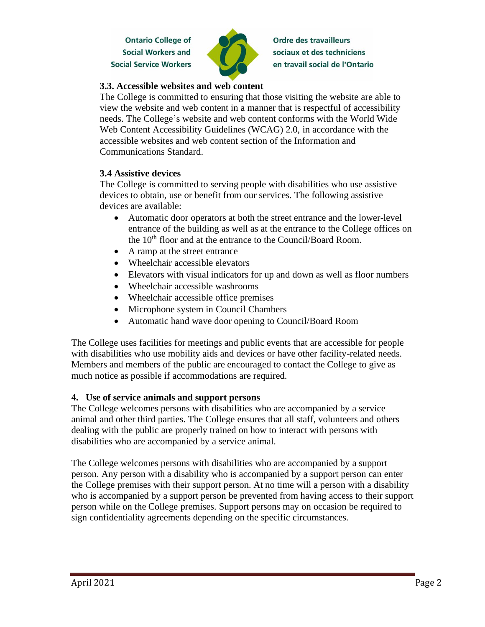

**Ordre des travailleurs** sociaux et des techniciens en travail social de l'Ontario

### **3.3. Accessible websites and web content**

The College is committed to ensuring that those visiting the website are able to view the website and web content in a manner that is respectful of accessibility needs. The College's website and web content conforms with the World Wide Web Content Accessibility Guidelines (WCAG) 2.0, in accordance with the accessible websites and web content section of the Information and Communications Standard.

### **3.4 Assistive devices**

The College is committed to serving people with disabilities who use assistive devices to obtain, use or benefit from our services. The following assistive devices are available:

- Automatic door operators at both the street entrance and the lower-level entrance of the building as well as at the entrance to the College offices on the 10<sup>th</sup> floor and at the entrance to the Council/Board Room.
- A ramp at the street entrance
- Wheelchair accessible elevators
- Elevators with visual indicators for up and down as well as floor numbers
- Wheelchair accessible washrooms
- Wheelchair accessible office premises
- Microphone system in Council Chambers
- Automatic hand wave door opening to Council/Board Room

The College uses facilities for meetings and public events that are accessible for people with disabilities who use mobility aids and devices or have other facility-related needs. Members and members of the public are encouraged to contact the College to give as much notice as possible if accommodations are required.

### **4. Use of service animals and support persons**

The College welcomes persons with disabilities who are accompanied by a service animal and other third parties. The College ensures that all staff, volunteers and others dealing with the public are properly trained on how to interact with persons with disabilities who are accompanied by a service animal.

The College welcomes persons with disabilities who are accompanied by a support person. Any person with a disability who is accompanied by a support person can enter the College premises with their support person. At no time will a person with a disability who is accompanied by a support person be prevented from having access to their support person while on the College premises. Support persons may on occasion be required to sign confidentiality agreements depending on the specific circumstances.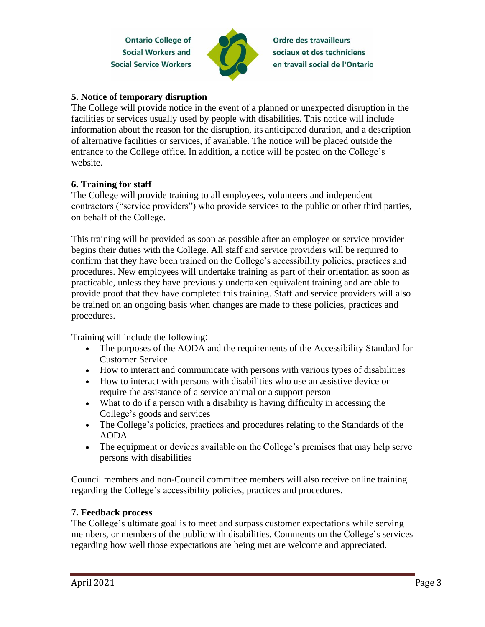

**Ordre des travailleurs** sociaux et des techniciens en travail social de l'Ontario

### **5. Notice of temporary disruption**

The College will provide notice in the event of a planned or unexpected disruption in the facilities or services usually used by people with disabilities. This notice will include information about the reason for the disruption, its anticipated duration, and a description of alternative facilities or services, if available. The notice will be placed outside the entrance to the College office. In addition, a notice will be posted on the College's website.

### **6. Training for staff**

The College will provide training to all employees, volunteers and independent contractors ("service providers") who provide services to the public or other third parties, on behalf of the College.

This training will be provided as soon as possible after an employee or service provider begins their duties with the College. All staff and service providers will be required to confirm that they have been trained on the College's accessibility policies, practices and procedures. New employees will undertake training as part of their orientation as soon as practicable, unless they have previously undertaken equivalent training and are able to provide proof that they have completed this training. Staff and service providers will also be trained on an ongoing basis when changes are made to these policies, practices and procedures.

Training will include the following:

- The purposes of the AODA and the requirements of the Accessibility Standard for Customer Service
- How to interact and communicate with persons with various types of disabilities
- How to interact with persons with disabilities who use an assistive device or require the assistance of a service animal or a support person
- What to do if a person with a disability is having difficulty in accessing the College's goods and services
- The College's policies, practices and procedures relating to the Standards of the AODA
- The equipment or devices available on the College's premises that may help serve persons with disabilities

Council members and non-Council committee members will also receive online training regarding the College's accessibility policies, practices and procedures.

### **7. Feedback process**

The College's ultimate goal is to meet and surpass customer expectations while serving members, or members of the public with disabilities. Comments on the College's services regarding how well those expectations are being met are welcome and appreciated.